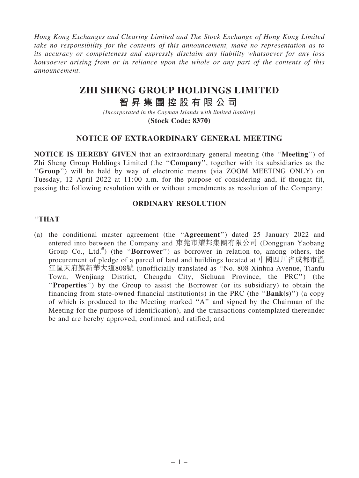*Hong Kong Exchanges and Clearing Limited and The Stock Exchange of Hong Kong Limited take no responsibility for the contents of this announcement, make no representation as to its accuracy or completeness and expressly disclaim any liability whatsoever for any loss howsoever arising from or in reliance upon the whole or any part of the contents of this announcement.*

## **ZHI SHENG GROUP HOLDINGS LIMITED**

# **智 昇 集 團 控 股 有 限 公 司**

*(Incorporated in the Cayman Islands with limited liability)* **(Stock Code: 8370)**

### NOTICE OF EXTRAORDINARY GENERAL MEETING

NOTICE IS HEREBY GIVEN that an extraordinary general meeting (the ''Meeting'') of Zhi Sheng Group Holdings Limited (the ''Company'', together with its subsidiaries as the "Group") will be held by way of electronic means (via ZOOM MEETING ONLY) on Tuesday, 12 April 2022 at 11:00 a.m. for the purpose of considering and, if thought fit, passing the following resolution with or without amendments as resolution of the Company:

### ORDINARY RESOLUTION

#### ''THAT

(a) the conditional master agreement (the ''Agreement'') dated 25 January 2022 and entered into between the Company and 東莞市耀邦集團有限公司 (Dongguan Yaobang Group Co., Ltd.<sup>#</sup>) (the "Borrower") as borrower in relation to, among others, the procurement of pledge of a parcel of land and buildings located at 中國四川省成都市溫 江區天府鎮新華大道808號 (unofficially translated as ''No. 808 Xinhua Avenue, Tianfu Town, Wenjiang District, Chengdu City, Sichuan Province, the PRC'') (the "Properties") by the Group to assist the Borrower (or its subsidiary) to obtain the financing from state-owned financial institution(s) in the PRC (the " $Bank(s)$ ") (a copy of which is produced to the Meeting marked ''A'' and signed by the Chairman of the Meeting for the purpose of identification), and the transactions contemplated thereunder be and are hereby approved, confirmed and ratified; and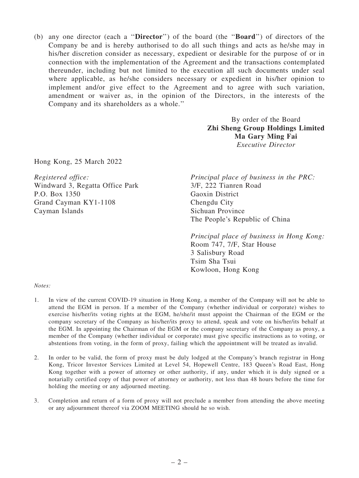(b) any one director (each a ''Director'') of the board (the ''Board'') of directors of the Company be and is hereby authorised to do all such things and acts as he/she may in his/her discretion consider as necessary, expedient or desirable for the purpose of or in connection with the implementation of the Agreement and the transactions contemplated thereunder, including but not limited to the execution all such documents under seal where applicable, as he/she considers necessary or expedient in his/her opinion to implement and/or give effect to the Agreement and to agree with such variation, amendment or waiver as, in the opinion of the Directors, in the interests of the Company and its shareholders as a whole.''

> By order of the Board Zhi Sheng Group Holdings Limited Ma Gary Ming Fai *Executive Director*

Hong Kong, 25 March 2022

*Registered office:* Windward 3, Regatta Office Park P.O. Box 1350 Grand Cayman KY1-1108 Cayman Islands

*Principal place of business in the PRC:* 3/F, 222 Tianren Road Gaoxin District Chengdu City Sichuan Province The People's Republic of China

*Principal place of business in Hong Kong:* Room 747, 7/F, Star House 3 Salisbury Road Tsim Sha Tsui Kowloon, Hong Kong

#### *Notes:*

- 1. In view of the current COVID-19 situation in Hong Kong, a member of the Company will not be able to attend the EGM in person. If a member of the Company (whether individual or corporate) wishes to exercise his/her/its voting rights at the EGM, he/she/it must appoint the Chairman of the EGM or the company secretary of the Company as his/her/its proxy to attend, speak and vote on his/her/its behalf at the EGM. In appointing the Chairman of the EGM or the company secretary of the Company as proxy, a member of the Company (whether individual or corporate) must give specific instructions as to voting, or abstentions from voting, in the form of proxy, failing which the appointment will be treated as invalid.
- 2. In order to be valid, the form of proxy must be duly lodged at the Company's branch registrar in Hong Kong, Tricor Investor Services Limited at Level 54, Hopewell Centre, 183 Queen's Road East, Hong Kong together with a power of attorney or other authority, if any, under which it is duly signed or a notarially certified copy of that power of attorney or authority, not less than 48 hours before the time for holding the meeting or any adjourned meeting.
- 3. Completion and return of a form of proxy will not preclude a member from attending the above meeting or any adjournment thereof via ZOOM MEETING should he so wish.